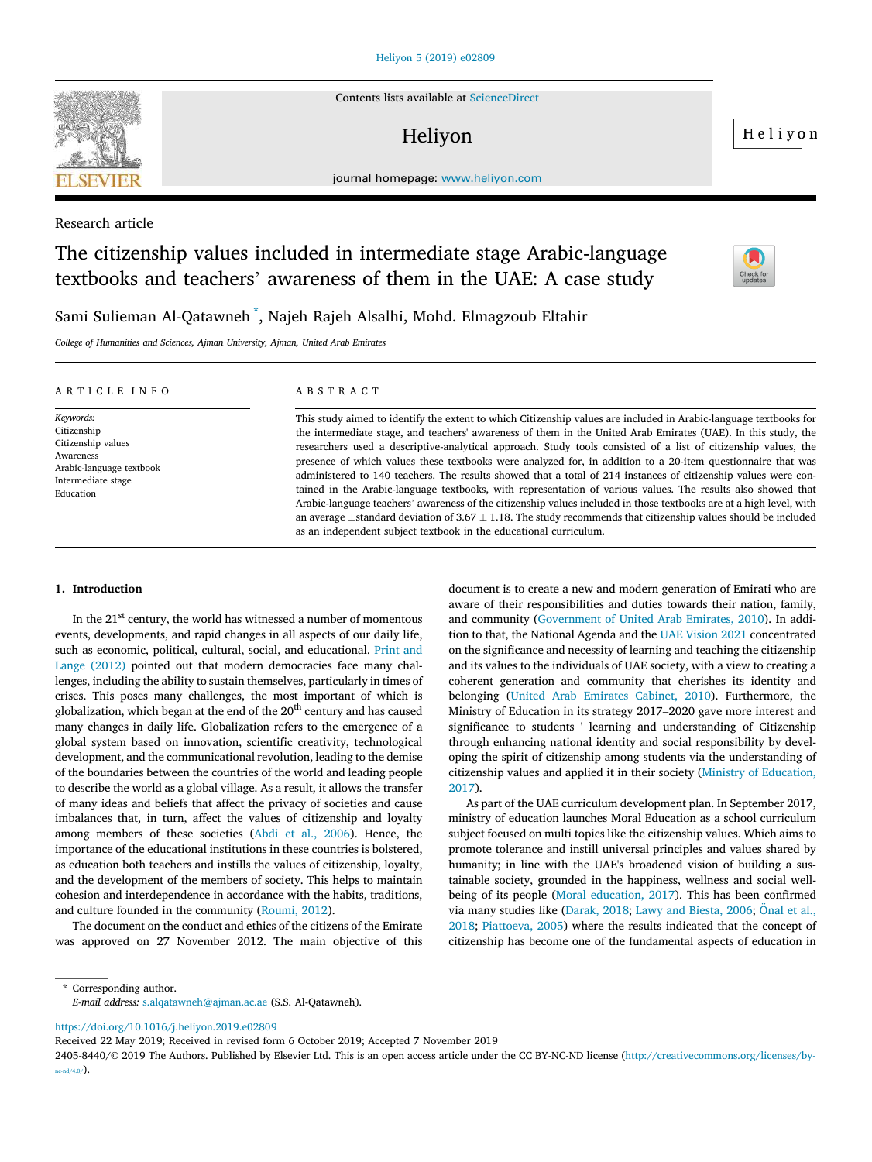

Contents lists available at ScienceDirect

# Heliyon

Heliyon

journal homepage: www.heliyon.com

# Research article

# The citizenship values included in intermediate stage Arabic-language textbooks and teachers' awareness of them in the UAE: A case study



Sami Sulieman Al-Qatawneh \* , Najeh Rajeh Alsalhi, Mohd. Elmagzoub Eltahir

*College of Humanities and Sciences, Ajman University, Ajman, United Arab Emirates*

| ARTICLE INFO                                                                                                               | ABSTRACT                                                                                                                                                                                                                                                                                                                                                                                                                                                                                                                                                                                                                                                                                                                                                                                                                                                                                                                                                                                                                     |
|----------------------------------------------------------------------------------------------------------------------------|------------------------------------------------------------------------------------------------------------------------------------------------------------------------------------------------------------------------------------------------------------------------------------------------------------------------------------------------------------------------------------------------------------------------------------------------------------------------------------------------------------------------------------------------------------------------------------------------------------------------------------------------------------------------------------------------------------------------------------------------------------------------------------------------------------------------------------------------------------------------------------------------------------------------------------------------------------------------------------------------------------------------------|
| Keywords:<br>Citizenship<br>Citizenship values<br>Awareness<br>Arabic-language textbook<br>Intermediate stage<br>Education | This study aimed to identify the extent to which Citizenship values are included in Arabic-language textbooks for<br>the intermediate stage, and teachers' awareness of them in the United Arab Emirates (UAE). In this study, the<br>researchers used a descriptive-analytical approach. Study tools consisted of a list of citizenship values, the<br>presence of which values these textbooks were analyzed for, in addition to a 20-item questionnaire that was<br>administered to 140 teachers. The results showed that a total of 214 instances of citizenship values were con-<br>tained in the Arabic-language textbooks, with representation of various values. The results also showed that<br>Arabic-language teachers' awareness of the citizenship values included in those textbooks are at a high level, with<br>an average $\pm$ standard deviation of 3.67 $\pm$ 1.18. The study recommends that citizenship values should be included<br>as an independent subject textbook in the educational curriculum. |

# 1. Introduction

In the  $21<sup>st</sup>$  century, the world has witnessed a number of momentous events, developments, and rapid changes in all aspects of our daily life, such as economic, political, cultural, social, and educational. Print and Lange (2012) pointed out that modern democracies face many challenges, including the ability to sustain themselves, particularly in times of crises. This poses many challenges, the most important of which is globalization, which began at the end of the  $20<sup>th</sup>$  century and has caused many changes in daily life. Globalization refers to the emergence of a global system based on innovation, scientific creativity, technological development, and the communicational revolution, leading to the demise of the boundaries between the countries of the world and leading people to describe the world as a global village. As a result, it allows the transfer of many ideas and beliefs that affect the privacy of societies and cause imbalances that, in turn, affect the values of citizenship and loyalty among members of these societies (Abdi et al., 2006). Hence, the importance of the educational institutions in these countries is bolstered, as education both teachers and instills the values of citizenship, loyalty, and the development of the members of society. This helps to maintain cohesion and interdependence in accordance with the habits, traditions, and culture founded in the community (Roumi, 2012).

The document on the conduct and ethics of the citizens of the Emirate was approved on 27 November 2012. The main objective of this

document is to create a new and modern generation of Emirati who are aware of their responsibilities and duties towards their nation, family, and community (Government of United Arab Emirates, 2010). In addition to that, the National Agenda and the UAE Vision 2021 concentrated on the significance and necessity of learning and teaching the citizenship and its values to the individuals of UAE society, with a view to creating a coherent generation and community that cherishes its identity and belonging (United Arab Emirates Cabinet, 2010). Furthermore, the Ministry of Education in its strategy 2017–2020 gave more interest and significance to students ' learning and understanding of Citizenship through enhancing national identity and social responsibility by developing the spirit of citizenship among students via the understanding of citizenship values and applied it in their society (Ministry of Education, 2017).

As part of the UAE curriculum development plan. In September 2017, ministry of education launches Moral Education as a school curriculum subject focused on multi topics like the citizenship values. Which aims to promote tolerance and instill universal principles and values shared by humanity; in line with the UAE's broadened vision of building a sustainable society, grounded in the happiness, wellness and social wellbeing of its people (Moral education, 2017). This has been confirmed via many studies like (Darak, 2018; Lawy and Biesta, 2006; Onal et al., 2018; Piattoeva, 2005) where the results indicated that the concept of citizenship has become one of the fundamental aspects of education in

\* Corresponding author. *E-mail address:* s.alqatawneh@ajman.ac.ae (S.S. Al-Qatawneh).

https://doi.org/10.1016/j.heliyon.2019.e02809

Received 22 May 2019; Received in revised form 6 October 2019; Accepted 7 November 2019

<sup>2405-8440/</sup>© 2019 The Authors. Published by Elsevier Ltd. This is an open access article under the CC BY-NC-ND license (http://creativecommons.org/licenses/by $nc-nd/4.0/$ ).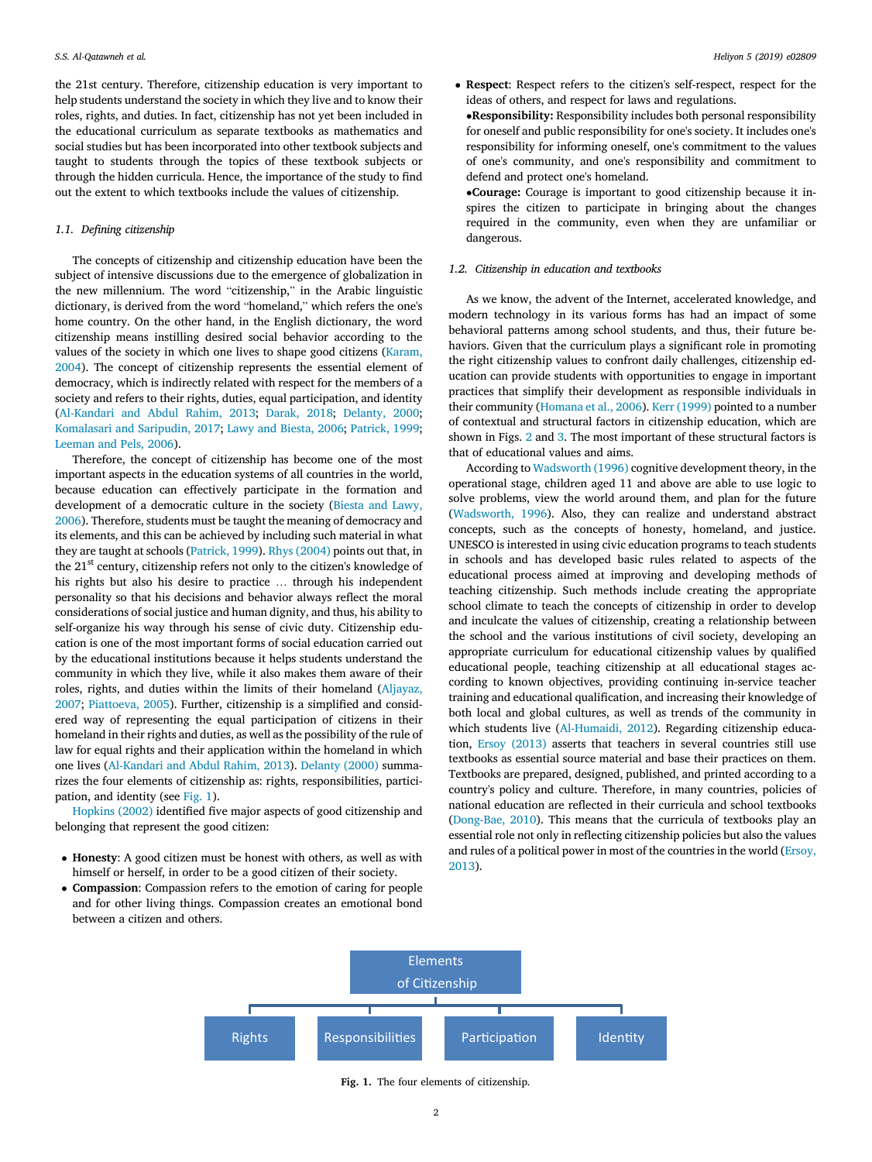the 21st century. Therefore, citizenship education is very important to help students understand the society in which they live and to know their roles, rights, and duties. In fact, citizenship has not yet been included in the educational curriculum as separate textbooks as mathematics and social studies but has been incorporated into other textbook subjects and taught to students through the topics of these textbook subjects or through the hidden curricula. Hence, the importance of the study to find out the extent to which textbooks include the values of citizenship.

# *1.1. De*fi*ning citizenship*

The concepts of citizenship and citizenship education have been the subject of intensive discussions due to the emergence of globalization in the new millennium. The word "citizenship," in the Arabic linguistic dictionary, is derived from the word "homeland," which refers the one's home country. On the other hand, in the English dictionary, the word citizenship means instilling desired social behavior according to the values of the society in which one lives to shape good citizens (Karam, 2004). The concept of citizenship represents the essential element of democracy, which is indirectly related with respect for the members of a society and refers to their rights, duties, equal participation, and identity (Al-Kandari and Abdul Rahim, 2013; Darak, 2018; Delanty, 2000; Komalasari and Saripudin, 2017; Lawy and Biesta, 2006; Patrick, 1999; Leeman and Pels, 2006).

Therefore, the concept of citizenship has become one of the most important aspects in the education systems of all countries in the world, because education can effectively participate in the formation and development of a democratic culture in the society (Biesta and Lawy, 2006). Therefore, students must be taught the meaning of democracy and its elements, and this can be achieved by including such material in what they are taught at schools (Patrick, 1999). Rhys (2004) points out that, in the 21<sup>st</sup> century, citizenship refers not only to the citizen's knowledge of his rights but also his desire to practice … through his independent personality so that his decisions and behavior always reflect the moral considerations of social justice and human dignity, and thus, his ability to self-organize his way through his sense of civic duty. Citizenship education is one of the most important forms of social education carried out by the educational institutions because it helps students understand the community in which they live, while it also makes them aware of their roles, rights, and duties within the limits of their homeland (Aljayaz, 2007; Piattoeva, 2005). Further, citizenship is a simplified and considered way of representing the equal participation of citizens in their homeland in their rights and duties, as well as the possibility of the rule of law for equal rights and their application within the homeland in which one lives (Al-Kandari and Abdul Rahim, 2013). Delanty (2000) summarizes the four elements of citizenship as: rights, responsibilities, participation, and identity (see Fig. 1).

Hopkins (2002) identified five major aspects of good citizenship and belonging that represent the good citizen:

- Honesty: A good citizen must be honest with others, as well as with himself or herself, in order to be a good citizen of their society.
- Compassion: Compassion refers to the emotion of caring for people and for other living things. Compassion creates an emotional bond between a citizen and others.
- Respect: Respect refers to the citizen's self-respect, respect for the ideas of others, and respect for laws and regulations.
- Responsibility: Responsibility includes both personal responsibility for oneself and public responsibility for one's society. It includes one's responsibility for informing oneself, one's commitment to the values of one's community, and one's responsibility and commitment to defend and protect one's homeland.

Courage: Courage is important to good citizenship because it inspires the citizen to participate in bringing about the changes required in the community, even when they are unfamiliar or dangerous.

# *1.2. Citizenship in education and textbooks*

As we know, the advent of the Internet, accelerated knowledge, and modern technology in its various forms has had an impact of some behavioral patterns among school students, and thus, their future behaviors. Given that the curriculum plays a significant role in promoting the right citizenship values to confront daily challenges, citizenship education can provide students with opportunities to engage in important practices that simplify their development as responsible individuals in their community (Homana et al., 2006). Kerr (1999) pointed to a number of contextual and structural factors in citizenship education, which are shown in Figs. 2 and 3. The most important of these structural factors is that of educational values and aims.

According to Wadsworth (1996) cognitive development theory, in the operational stage, children aged 11 and above are able to use logic to solve problems, view the world around them, and plan for the future (Wadsworth, 1996). Also, they can realize and understand abstract concepts, such as the concepts of honesty, homeland, and justice. UNESCO is interested in using civic education programs to teach students in schools and has developed basic rules related to aspects of the educational process aimed at improving and developing methods of teaching citizenship. Such methods include creating the appropriate school climate to teach the concepts of citizenship in order to develop and inculcate the values of citizenship, creating a relationship between the school and the various institutions of civil society, developing an appropriate curriculum for educational citizenship values by qualified educational people, teaching citizenship at all educational stages according to known objectives, providing continuing in-service teacher training and educational qualification, and increasing their knowledge of both local and global cultures, as well as trends of the community in which students live (Al-Humaidi, 2012). Regarding citizenship education, Ersoy (2013) asserts that teachers in several countries still use textbooks as essential source material and base their practices on them. Textbooks are prepared, designed, published, and printed according to a country's policy and culture. Therefore, in many countries, policies of national education are reflected in their curricula and school textbooks (Dong-Bae, 2010). This means that the curricula of textbooks play an essential role not only in reflecting citizenship policies but also the values and rules of a political power in most of the countries in the world (Ersoy, 2013).



Fig. 1. The four elements of citizenship.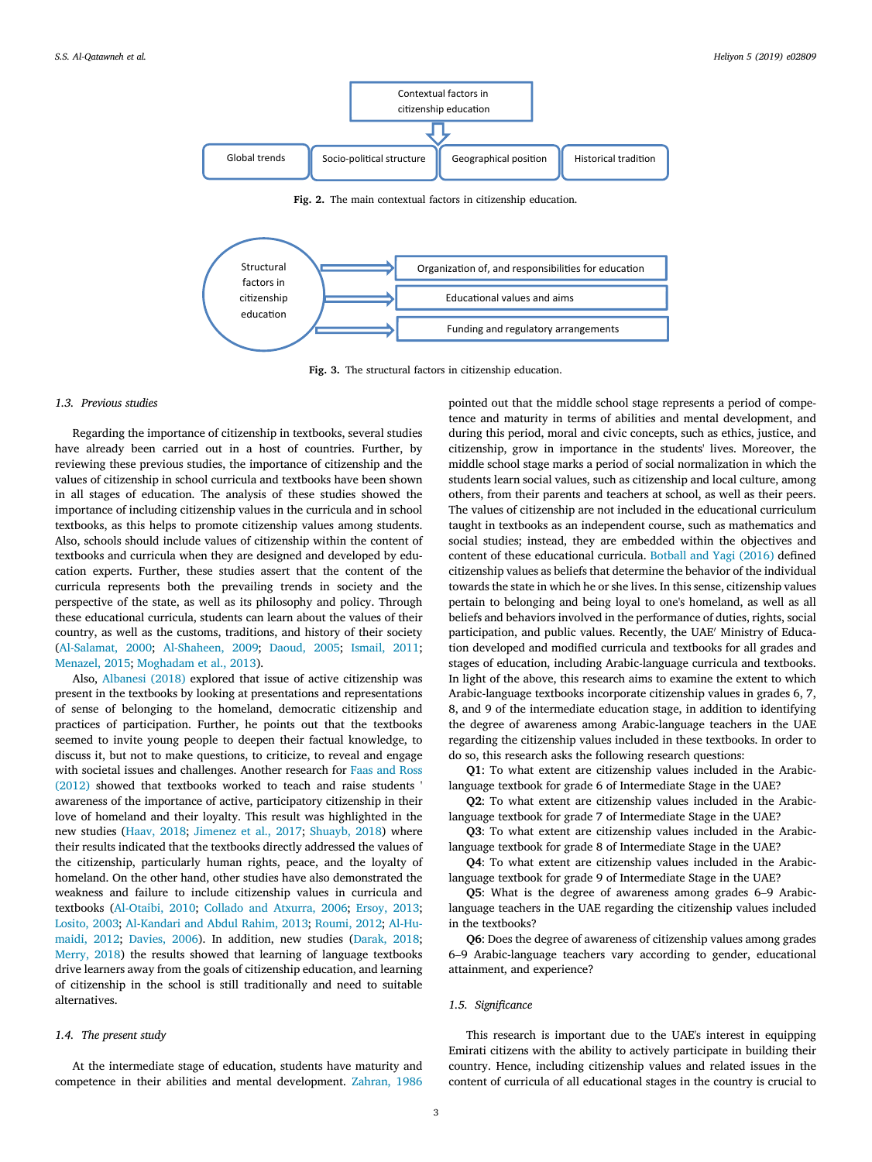



Fig. 3. The structural factors in citizenship education.

## *1.3. Previous studies*

Regarding the importance of citizenship in textbooks, several studies have already been carried out in a host of countries. Further, by reviewing these previous studies, the importance of citizenship and the values of citizenship in school curricula and textbooks have been shown in all stages of education. The analysis of these studies showed the importance of including citizenship values in the curricula and in school textbooks, as this helps to promote citizenship values among students. Also, schools should include values of citizenship within the content of textbooks and curricula when they are designed and developed by education experts. Further, these studies assert that the content of the curricula represents both the prevailing trends in society and the perspective of the state, as well as its philosophy and policy. Through these educational curricula, students can learn about the values of their country, as well as the customs, traditions, and history of their society (Al-Salamat, 2000; Al-Shaheen, 2009; Daoud, 2005; Ismail, 2011; Menazel, 2015; Moghadam et al., 2013).

Also, Albanesi (2018) explored that issue of active citizenship was present in the textbooks by looking at presentations and representations of sense of belonging to the homeland, democratic citizenship and practices of participation. Further, he points out that the textbooks seemed to invite young people to deepen their factual knowledge, to discuss it, but not to make questions, to criticize, to reveal and engage with societal issues and challenges. Another research for Faas and Ross (2012) showed that textbooks worked to teach and raise students ' awareness of the importance of active, participatory citizenship in their love of homeland and their loyalty. This result was highlighted in the new studies (Haav, 2018; Jimenez et al., 2017; Shuayb, 2018) where their results indicated that the textbooks directly addressed the values of the citizenship, particularly human rights, peace, and the loyalty of homeland. On the other hand, other studies have also demonstrated the weakness and failure to include citizenship values in curricula and textbooks (Al-Otaibi, 2010; Collado and Atxurra, 2006; Ersoy, 2013; Losito, 2003; Al-Kandari and Abdul Rahim, 2013; Roumi, 2012; Al-Humaidi, 2012; Davies, 2006). In addition, new studies (Darak, 2018; Merry, 2018) the results showed that learning of language textbooks drive learners away from the goals of citizenship education, and learning of citizenship in the school is still traditionally and need to suitable alternatives.

# *1.4. The present study*

At the intermediate stage of education, students have maturity and competence in their abilities and mental development. Zahran, 1986

pointed out that the middle school stage represents a period of competence and maturity in terms of abilities and mental development, and during this period, moral and civic concepts, such as ethics, justice, and citizenship, grow in importance in the students' lives. Moreover, the middle school stage marks a period of social normalization in which the students learn social values, such as citizenship and local culture, among others, from their parents and teachers at school, as well as their peers. The values of citizenship are not included in the educational curriculum taught in textbooks as an independent course, such as mathematics and social studies; instead, they are embedded within the objectives and content of these educational curricula. Botball and Yagi (2016) defined citizenship values as beliefs that determine the behavior of the individual towards the state in which he or she lives. In this sense, citizenship values pertain to belonging and being loyal to one's homeland, as well as all beliefs and behaviors involved in the performance of duties, rights, social participation, and public values. Recently, the UAE' Ministry of Education developed and modified curricula and textbooks for all grades and stages of education, including Arabic-language curricula and textbooks. In light of the above, this research aims to examine the extent to which Arabic-language textbooks incorporate citizenship values in grades 6, 7, 8, and 9 of the intermediate education stage, in addition to identifying the degree of awareness among Arabic-language teachers in the UAE regarding the citizenship values included in these textbooks. In order to do so, this research asks the following research questions:

Q1: To what extent are citizenship values included in the Arabiclanguage textbook for grade 6 of Intermediate Stage in the UAE?

Q2: To what extent are citizenship values included in the Arabiclanguage textbook for grade 7 of Intermediate Stage in the UAE?

Q3: To what extent are citizenship values included in the Arabiclanguage textbook for grade 8 of Intermediate Stage in the UAE?

Q4: To what extent are citizenship values included in the Arabiclanguage textbook for grade 9 of Intermediate Stage in the UAE?

Q5: What is the degree of awareness among grades 6–9 Arabiclanguage teachers in the UAE regarding the citizenship values included in the textbooks?

Q6: Does the degree of awareness of citizenship values among grades 6–9 Arabic-language teachers vary according to gender, educational attainment, and experience?

# *1.5. Signi*fi*cance*

This research is important due to the UAE's interest in equipping Emirati citizens with the ability to actively participate in building their country. Hence, including citizenship values and related issues in the content of curricula of all educational stages in the country is crucial to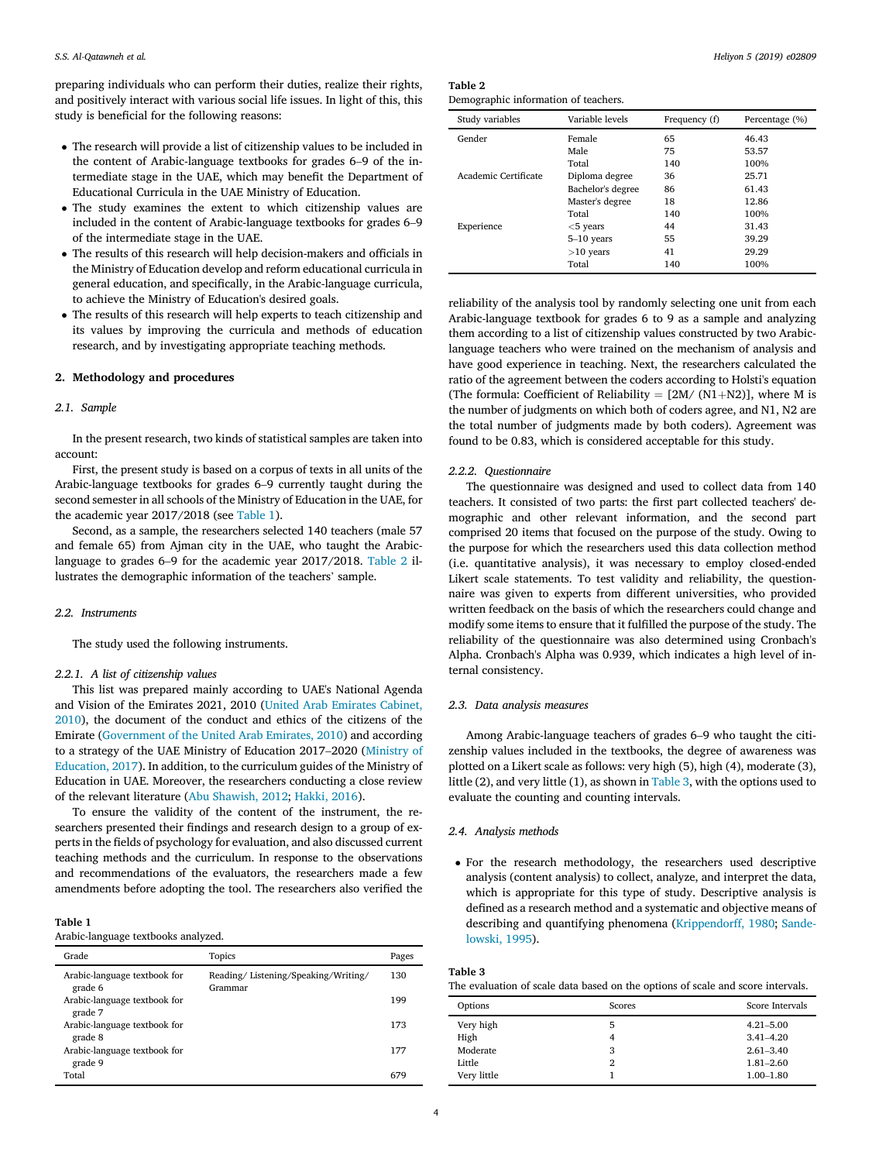preparing individuals who can perform their duties, realize their rights, and positively interact with various social life issues. In light of this, this study is beneficial for the following reasons:

- The research will provide a list of citizenship values to be included in the content of Arabic-language textbooks for grades 6–9 of the intermediate stage in the UAE, which may benefit the Department of Educational Curricula in the UAE Ministry of Education.
- The study examines the extent to which citizenship values are included in the content of Arabic-language textbooks for grades 6–9 of the intermediate stage in the UAE.
- The results of this research will help decision-makers and officials in the Ministry of Education develop and reform educational curricula in general education, and specifically, in the Arabic-language curricula, to achieve the Ministry of Education's desired goals.
- The results of this research will help experts to teach citizenship and its values by improving the curricula and methods of education research, and by investigating appropriate teaching methods.

# 2. Methodology and procedures

# *2.1. Sample*

In the present research, two kinds of statistical samples are taken into account:

First, the present study is based on a corpus of texts in all units of the Arabic-language textbooks for grades 6–9 currently taught during the second semester in all schools of the Ministry of Education in the UAE, for the academic year 2017/2018 (see Table 1).

Second, as a sample, the researchers selected 140 teachers (male 57 and female 65) from Ajman city in the UAE, who taught the Arabiclanguage to grades 6–9 for the academic year 2017/2018. Table 2 illustrates the demographic information of the teachers' sample.

## *2.2. Instruments*

The study used the following instruments.

# *2.2.1. A list of citizenship values*

This list was prepared mainly according to UAE's National Agenda and Vision of the Emirates 2021, 2010 (United Arab Emirates Cabinet, 2010), the document of the conduct and ethics of the citizens of the Emirate (Government of the United Arab Emirates, 2010) and according to a strategy of the UAE Ministry of Education 2017–2020 (Ministry of Education, 2017). In addition, to the curriculum guides of the Ministry of Education in UAE. Moreover, the researchers conducting a close review of the relevant literature (Abu Shawish, 2012; Hakki, 2016).

To ensure the validity of the content of the instrument, the researchers presented their findings and research design to a group of experts in the fields of psychology for evaluation, and also discussed current teaching methods and the curriculum. In response to the observations and recommendations of the evaluators, the researchers made a few amendments before adopting the tool. The researchers also verified the

## Table 1

Arabic-language textbooks analyzed.

| Grade                                   | Topics                                         | Pages |
|-----------------------------------------|------------------------------------------------|-------|
| Arabic-language textbook for<br>grade 6 | Reading/Listening/Speaking/Writing/<br>Grammar | 130   |
| Arabic-language textbook for<br>grade 7 |                                                | 199   |
| Arabic-language textbook for<br>grade 8 |                                                | 173   |
| Arabic-language textbook for<br>grade 9 |                                                | 177   |
| Total                                   |                                                | 679   |

| Table 2                              |  |  |
|--------------------------------------|--|--|
| Demographic information of teachers. |  |  |

| Study variables      | Variable levels   | Frequency (f) | Percentage (%) |
|----------------------|-------------------|---------------|----------------|
| Gender               | Female            | 65            | 46.43          |
|                      | Male              | 75            | 53.57          |
|                      | Total             | 140           | 100%           |
| Academic Certificate | Diploma degree    | 36            | 25.71          |
|                      | Bachelor's degree | 86            | 61.43          |
|                      | Master's degree   | 18            | 12.86          |
|                      | Total             | 140           | 100%           |
| Experience           | $<$ 5 years       | 44            | 31.43          |
|                      | $5-10$ years      | 55            | 39.29          |
|                      | $>10$ years       | 41            | 29.29          |
|                      | Total             | 140           | 100%           |

reliability of the analysis tool by randomly selecting one unit from each Arabic-language textbook for grades 6 to 9 as a sample and analyzing them according to a list of citizenship values constructed by two Arabiclanguage teachers who were trained on the mechanism of analysis and have good experience in teaching. Next, the researchers calculated the ratio of the agreement between the coders according to Holsti's equation (The formula: Coefficient of Reliability =  $[2M/(N1+N2)]$ , where M is the number of judgments on which both of coders agree, and N1, N2 are the total number of judgments made by both coders). Agreement was found to be 0.83, which is considered acceptable for this study.

#### *2.2.2. Questionnaire*

The questionnaire was designed and used to collect data from 140 teachers. It consisted of two parts: the first part collected teachers' demographic and other relevant information, and the second part comprised 20 items that focused on the purpose of the study. Owing to the purpose for which the researchers used this data collection method (i.e. quantitative analysis), it was necessary to employ closed-ended Likert scale statements. To test validity and reliability, the questionnaire was given to experts from different universities, who provided written feedback on the basis of which the researchers could change and modify some items to ensure that it fulfilled the purpose of the study. The reliability of the questionnaire was also determined using Cronbach's Alpha. Cronbach's Alpha was 0.939, which indicates a high level of internal consistency.

## *2.3. Data analysis measures*

Among Arabic-language teachers of grades 6–9 who taught the citizenship values included in the textbooks, the degree of awareness was plotted on a Likert scale as follows: very high (5), high (4), moderate (3), little (2), and very little (1), as shown in Table 3, with the options used to evaluate the counting and counting intervals.

# *2.4. Analysis methods*

 For the research methodology, the researchers used descriptive analysis (content analysis) to collect, analyze, and interpret the data, which is appropriate for this type of study. Descriptive analysis is defined as a research method and a systematic and objective means of describing and quantifying phenomena (Krippendorff, 1980; Sandelowski, 1995).

| Table 3                                                                         |  |
|---------------------------------------------------------------------------------|--|
| The evaluation of scale data based on the options of scale and score intervals. |  |

| Options     | Scores | Score Intervals |
|-------------|--------|-----------------|
| Very high   |        | $4.21 - 5.00$   |
| High        |        | $3.41 - 4.20$   |
| Moderate    | 3      | $2.61 - 3.40$   |
| Little      | 2      | $1.81 - 2.60$   |
| Very little |        | $1.00 - 1.80$   |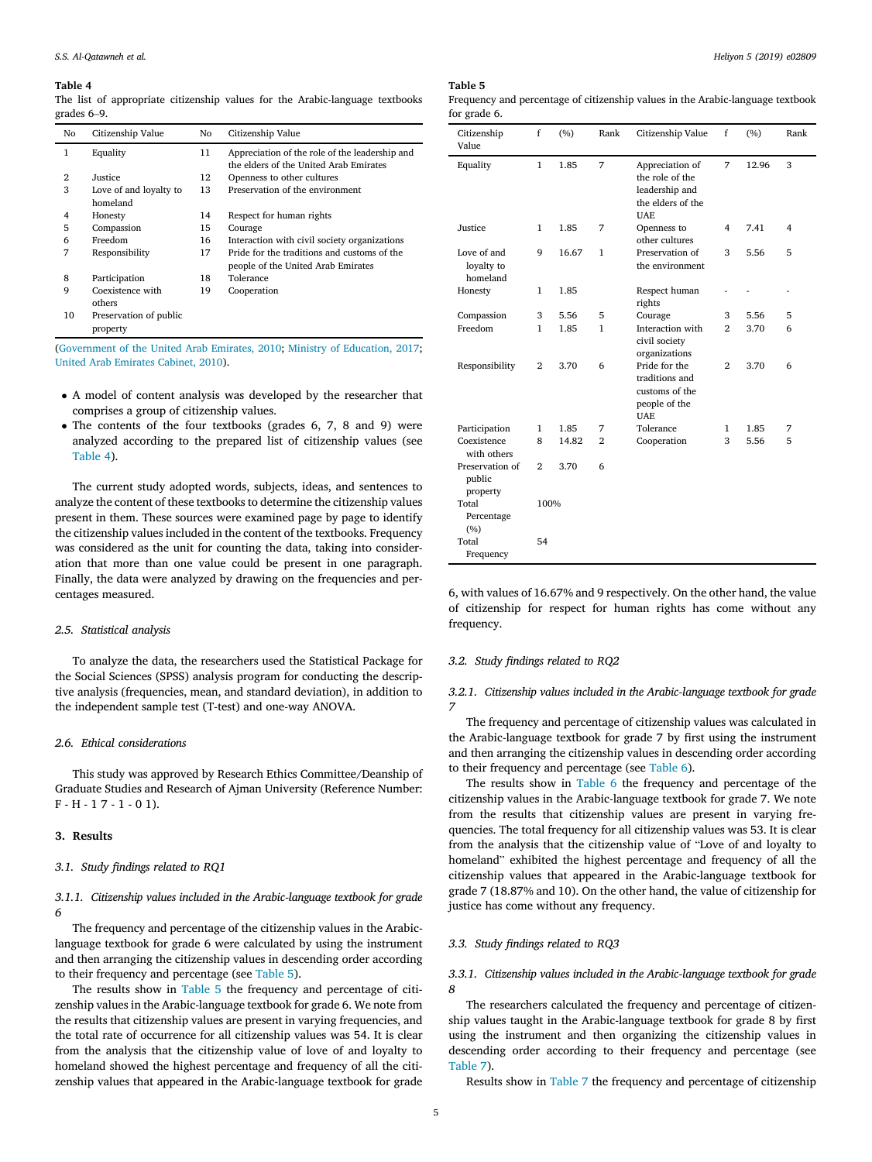The list of appropriate citizenship values for the Arabic-language textbooks grades 6–9.

| No | Citizenship Value      | No | Citizenship Value                                                                        |
|----|------------------------|----|------------------------------------------------------------------------------------------|
| 1  | Equality               | 11 | Appreciation of the role of the leadership and<br>the elders of the United Arab Emirates |
| 2  | Justice                | 12 | Openness to other cultures                                                               |
| 3  | Love of and loyalty to | 13 | Preservation of the environment                                                          |
|    | homeland               |    |                                                                                          |
| 4  | Honesty                | 14 | Respect for human rights                                                                 |
| 5  | Compassion             | 15 | Courage                                                                                  |
| 6  | Freedom                | 16 | Interaction with civil society organizations                                             |
| 7  | Responsibility         | 17 | Pride for the traditions and customs of the                                              |
|    |                        |    | people of the United Arab Emirates                                                       |
| 8  | Participation          | 18 | Tolerance                                                                                |
| 9  | Coexistence with       | 19 | Cooperation                                                                              |
|    | others                 |    |                                                                                          |
| 10 | Preservation of public |    |                                                                                          |
|    | property               |    |                                                                                          |

(Government of the United Arab Emirates, 2010; Ministry of Education, 2017; United Arab Emirates Cabinet, 2010).

- A model of content analysis was developed by the researcher that comprises a group of citizenship values.
- The contents of the four textbooks (grades 6, 7, 8 and 9) were analyzed according to the prepared list of citizenship values (see Table 4).

The current study adopted words, subjects, ideas, and sentences to analyze the content of these textbooks to determine the citizenship values present in them. These sources were examined page by page to identify the citizenship values included in the content of the textbooks. Frequency was considered as the unit for counting the data, taking into consideration that more than one value could be present in one paragraph. Finally, the data were analyzed by drawing on the frequencies and percentages measured.

#### *2.5. Statistical analysis*

To analyze the data, the researchers used the Statistical Package for the Social Sciences (SPSS) analysis program for conducting the descriptive analysis (frequencies, mean, and standard deviation), in addition to the independent sample test (T-test) and one-way ANOVA.

# *2.6. Ethical considerations*

This study was approved by Research Ethics Committee/Deanship of Graduate Studies and Research of Ajman University (Reference Number: F - H - 1 7 - 1 - 0 1).

## 3. Results

# *3.1. Study* fi*ndings related to RQ1*

# *3.1.1. Citizenship values included in the Arabic-language textbook for grade 6*

The frequency and percentage of the citizenship values in the Arabiclanguage textbook for grade 6 were calculated by using the instrument and then arranging the citizenship values in descending order according to their frequency and percentage (see Table 5).

The results show in Table 5 the frequency and percentage of citizenship values in the Arabic-language textbook for grade 6. We note from the results that citizenship values are present in varying frequencies, and the total rate of occurrence for all citizenship values was 54. It is clear from the analysis that the citizenship value of love of and loyalty to homeland showed the highest percentage and frequency of all the citizenship values that appeared in the Arabic-language textbook for grade

## Table 5

| Frequency and percentage of citizenship values in the Arabic-language textbook |
|--------------------------------------------------------------------------------|
| for grade 6.                                                                   |

| Citizenship<br>Value                  | $\mathbf f$    | (%)   | Rank           | Citizenship Value                                                                       | f              | (%)   | Rank |
|---------------------------------------|----------------|-------|----------------|-----------------------------------------------------------------------------------------|----------------|-------|------|
| Equality                              | $\mathbf{1}$   | 1.85  | 7              | Appreciation of<br>the role of the<br>leadership and<br>the elders of the<br><b>UAE</b> | 7              | 12.96 | 3    |
| Justice                               | $\mathbf{1}$   | 1.85  | 7              | Openness to<br>other cultures                                                           | 4              | 7.41  | 4    |
| Love of and<br>loyalty to<br>homeland | 9              | 16.67 | $\mathbf{1}$   | Preservation of<br>the environment                                                      | 3              | 5.56  | 5    |
| Honesty                               | $\mathbf{1}$   | 1.85  |                | Respect human<br>rights                                                                 |                |       |      |
| Compassion                            | 3              | 5.56  | 5              | Courage                                                                                 | 3              | 5.56  | 5    |
| Freedom                               | 1              | 1.85  | $\mathbf{1}$   | Interaction with<br>civil society<br>organizations                                      | $\overline{2}$ | 3.70  | 6    |
| Responsibility                        | $\overline{2}$ | 3.70  | 6              | Pride for the<br>traditions and<br>customs of the<br>people of the<br><b>UAE</b>        | $\overline{2}$ | 3.70  | 6    |
| Participation                         | 1              | 1.85  | 7              | Tolerance                                                                               | 1              | 1.85  | 7    |
| Coexistence<br>with others            | 8              | 14.82 | $\overline{2}$ | Cooperation                                                                             | 3              | 5.56  | 5    |
| Preservation of<br>public<br>property | $\overline{2}$ | 3.70  | 6              |                                                                                         |                |       |      |
| Total                                 | 100%           |       |                |                                                                                         |                |       |      |
| Percentage<br>(%)                     |                |       |                |                                                                                         |                |       |      |
| Total                                 | 54             |       |                |                                                                                         |                |       |      |
| Frequency                             |                |       |                |                                                                                         |                |       |      |

6, with values of 16.67% and 9 respectively. On the other hand, the value of citizenship for respect for human rights has come without any frequency.

#### *3.2. Study* fi*ndings related to RQ2*

# *3.2.1. Citizenship values included in the Arabic-language textbook for grade 7*

The frequency and percentage of citizenship values was calculated in the Arabic-language textbook for grade 7 by first using the instrument and then arranging the citizenship values in descending order according to their frequency and percentage (see Table 6).

The results show in Table 6 the frequency and percentage of the citizenship values in the Arabic-language textbook for grade 7. We note from the results that citizenship values are present in varying frequencies. The total frequency for all citizenship values was 53. It is clear from the analysis that the citizenship value of "Love of and loyalty to homeland" exhibited the highest percentage and frequency of all the citizenship values that appeared in the Arabic-language textbook for grade 7 (18.87% and 10). On the other hand, the value of citizenship for justice has come without any frequency.

#### *3.3. Study* fi*ndings related to RQ3*

# *3.3.1. Citizenship values included in the Arabic-language textbook for grade 8*

The researchers calculated the frequency and percentage of citizenship values taught in the Arabic-language textbook for grade 8 by first using the instrument and then organizing the citizenship values in descending order according to their frequency and percentage (see Table 7).

Results show in Table 7 the frequency and percentage of citizenship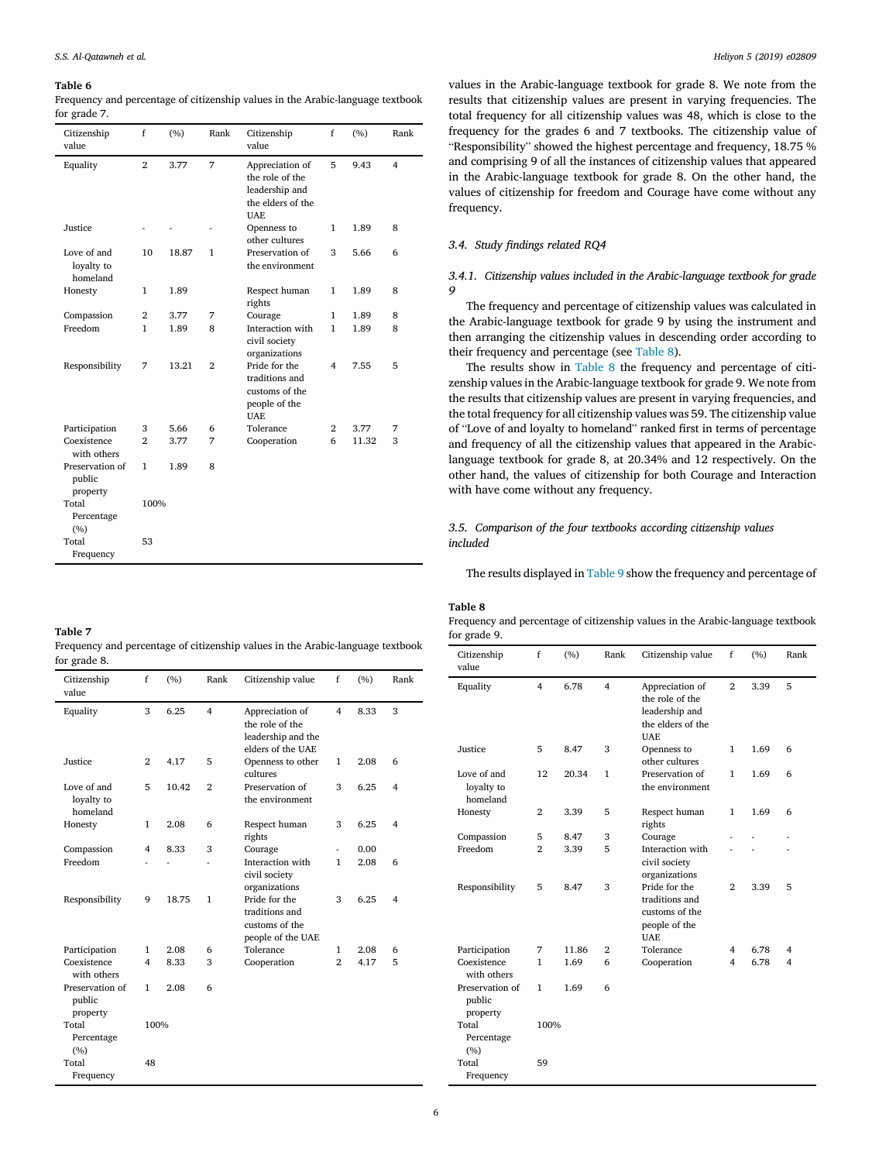Frequency and percentage of citizenship values in the Arabic-language textbook for grade 7.

| Citizenship<br>value                  | f              | (%)   | Rank         | Citizenship<br>value                                                                    | f              | (%)   | Rank           |
|---------------------------------------|----------------|-------|--------------|-----------------------------------------------------------------------------------------|----------------|-------|----------------|
| Equality                              | $\overline{2}$ | 3.77  | 7            | Appreciation of<br>the role of the<br>leadership and<br>the elders of the<br><b>UAE</b> | 5              | 9.43  | $\overline{4}$ |
| Justice                               |                |       |              | Openness to<br>other cultures                                                           | 1              | 1.89  | 8              |
| Love of and<br>loyalty to<br>homeland | 10             | 18.87 | 1            | Preservation of<br>the environment                                                      | 3              | 5.66  | 6              |
| Honesty                               | 1              | 1.89  |              | Respect human<br>rights                                                                 | 1              | 1.89  | 8              |
| Compassion                            | $\overline{2}$ | 3.77  | 7            | Courage                                                                                 | $\mathbf{1}$   | 1.89  | 8              |
| Freedom                               | 1              | 1.89  | 8            | Interaction with<br>civil society<br>organizations                                      | 1              | 1.89  | 8              |
| Responsibility                        | 7              | 13.21 | $\mathbf{2}$ | Pride for the<br>traditions and<br>customs of the<br>people of the<br><b>UAE</b>        | 4              | 7.55  | 5              |
| Participation                         | 3              | 5.66  | 6            | Tolerance                                                                               | $\overline{2}$ | 3.77  | 7              |
| Coexistence<br>with others            | $\overline{2}$ | 3.77  | 7            | Cooperation                                                                             | 6              | 11.32 | 3              |
| Preservation of<br>public<br>property | $\mathbf{1}$   | 1.89  | 8            |                                                                                         |                |       |                |
| Total<br>Percentage<br>(%)            | 100%           |       |              |                                                                                         |                |       |                |
| Total<br>Frequency                    | 53             |       |              |                                                                                         |                |       |                |

| Table 7                                                                        |
|--------------------------------------------------------------------------------|
| Frequency and percentage of citizenship values in the Arabic-language textbook |
| for grade 8.                                                                   |

| Citizenship<br>value                  | f              | (%)   | Rank           | Citizenship value                                                             | $\mathbf f$    | (%)  | Rank                    |
|---------------------------------------|----------------|-------|----------------|-------------------------------------------------------------------------------|----------------|------|-------------------------|
| Equality                              | 3              | 6.25  | $\overline{4}$ | Appreciation of<br>the role of the<br>leadership and the<br>elders of the UAE | 4              | 8.33 | 3                       |
| Justice                               | $\mathbf{2}$   | 4.17  | 5              | Openness to other<br>cultures                                                 | 1              | 2.08 | 6                       |
| Love of and<br>loyalty to<br>homeland | 5              | 10.42 | $\overline{2}$ | Preservation of<br>the environment                                            | 3              | 6.25 | $\overline{\mathbf{4}}$ |
| Honesty                               | 1              | 2.08  | 6              | Respect human<br>rights                                                       | 3              | 6.25 | $\overline{\mathbf{4}}$ |
| Compassion                            | $\overline{4}$ | 8.33  | 3              | Courage                                                                       | ä,             | 0.00 |                         |
| Freedom                               |                |       |                | Interaction with<br>civil society<br>organizations                            | 1              | 2.08 | 6                       |
| Responsibility                        | 9              | 18.75 | $\mathbf{1}$   | Pride for the<br>traditions and<br>customs of the<br>people of the UAE        | 3              | 6.25 | $\overline{\mathbf{4}}$ |
| Participation                         | $\mathbf{1}$   | 2.08  | 6              | Tolerance                                                                     | 1              | 2.08 | 6                       |
| Coexistence<br>with others            | $\overline{4}$ | 8.33  | 3              | Cooperation                                                                   | $\overline{2}$ | 4.17 | 5                       |
| Preservation of<br>public<br>property | 1              | 2.08  | 6              |                                                                               |                |      |                         |
| Total<br>Percentage<br>(%)            | 100%           |       |                |                                                                               |                |      |                         |
| Total<br>Frequency                    | 48             |       |                |                                                                               |                |      |                         |

values in the Arabic-language textbook for grade 8. We note from the results that citizenship values are present in varying frequencies. The total frequency for all citizenship values was 48, which is close to the frequency for the grades 6 and 7 textbooks. The citizenship value of "Responsibility" showed the highest percentage and frequency, 18.75 % and comprising 9 of all the instances of citizenship values that appeared in the Arabic-language textbook for grade 8. On the other hand, the values of citizenship for freedom and Courage have come without any frequency.

# *3.4. Study* fi*ndings related RQ4*

# *3.4.1. Citizenship values included in the Arabic-language textbook for grade 9*

The frequency and percentage of citizenship values was calculated in the Arabic-language textbook for grade 9 by using the instrument and then arranging the citizenship values in descending order according to their frequency and percentage (see Table 8).

The results show in Table 8 the frequency and percentage of citizenship values in the Arabic-language textbook for grade 9. We note from the results that citizenship values are present in varying frequencies, and the total frequency for all citizenship values was 59. The citizenship value of "Love of and loyalty to homeland" ranked first in terms of percentage and frequency of all the citizenship values that appeared in the Arabiclanguage textbook for grade 8, at 20.34% and 12 respectively. On the other hand, the values of citizenship for both Courage and Interaction with have come without any frequency.

# *3.5. Comparison of the four textbooks according citizenship values included*

The results displayed in Table 9 show the frequency and percentage of

# Table 8

Frequency and percentage of citizenship values in the Arabic-language textbook for grade 9.

| Citizenship<br>value                  | f              | (%)   | Rank           | Citizenship value                                                                       | $\mathbf f$    | (%)  | Rank |
|---------------------------------------|----------------|-------|----------------|-----------------------------------------------------------------------------------------|----------------|------|------|
| Equality                              | $\overline{4}$ | 6.78  | $\overline{4}$ | Appreciation of<br>the role of the<br>leadership and<br>the elders of the<br><b>UAE</b> | $\overline{2}$ | 3.39 | 5    |
| Justice                               | 5              | 8.47  | 3              | Openness to<br>other cultures                                                           | 1              | 1.69 | 6    |
| Love of and<br>loyalty to<br>homeland | 12             | 20.34 | 1              | Preservation of<br>the environment                                                      | 1              | 1.69 | 6    |
| Honesty                               | $\overline{2}$ | 3.39  | 5              | Respect human<br>rights                                                                 | $\mathbf{1}$   | 1.69 | 6    |
| Compassion                            | 5              | 8.47  | 3              | Courage                                                                                 |                |      |      |
| Freedom                               | $\mathfrak{D}$ | 3.39  | 5              | Interaction with<br>civil society<br>organizations                                      |                |      |      |
| Responsibility                        | 5              | 8.47  | 3              | Pride for the<br>traditions and<br>customs of the<br>people of the<br><b>UAE</b>        | $\mathbf{2}$   | 3.39 | 5    |
| Participation                         | 7              | 11.86 | $\overline{2}$ | Tolerance                                                                               | 4              | 6.78 | 4    |
| Coexistence<br>with others            | 1              | 1.69  | 6              | Cooperation                                                                             | 4              | 6.78 | 4    |
| Preservation of<br>public<br>property | 1              | 1.69  | 6              |                                                                                         |                |      |      |
| Total<br>Percentage<br>(%)            | 100%           |       |                |                                                                                         |                |      |      |
| Total<br>Frequency                    | 59             |       |                |                                                                                         |                |      |      |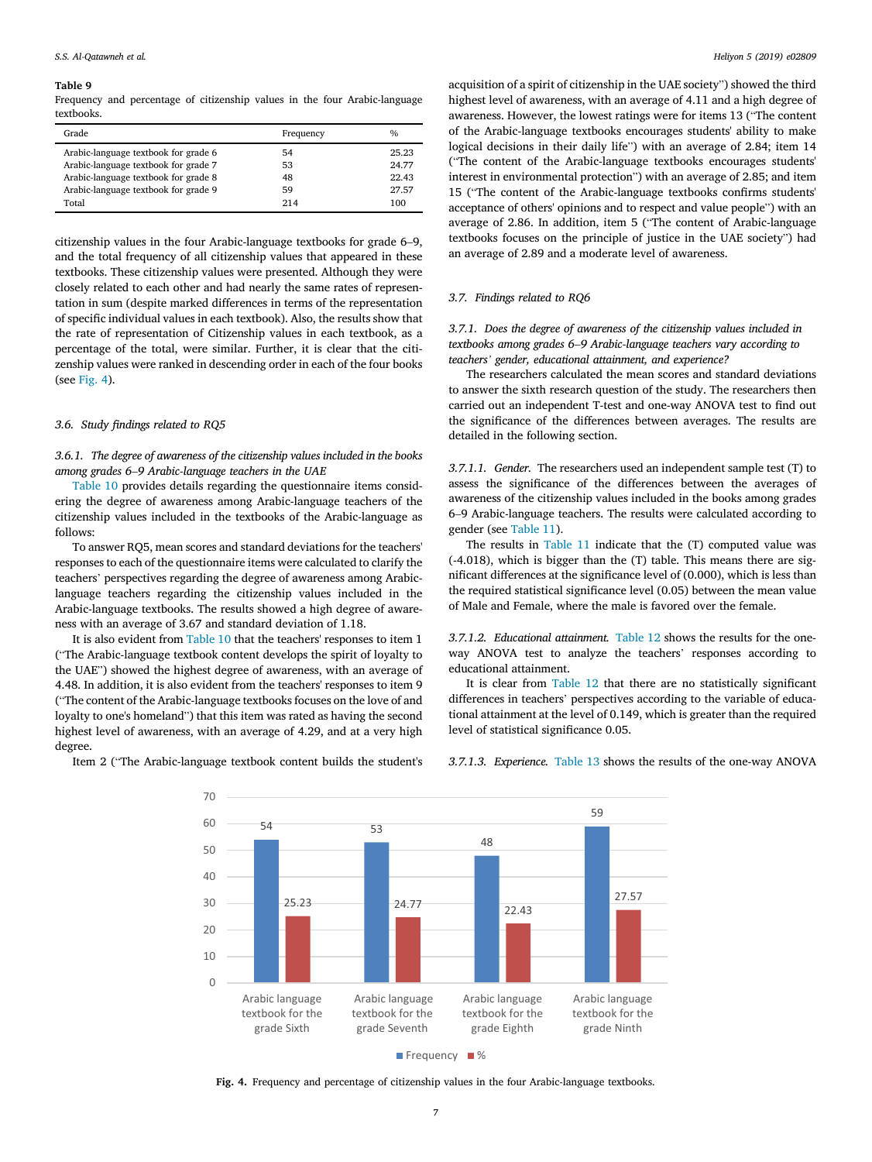Frequency and percentage of citizenship values in the four Arabic-language textbooks.

| Grade                                | Frequency | $\frac{0}{0}$ |
|--------------------------------------|-----------|---------------|
| Arabic-language textbook for grade 6 | 54        | 25.23         |
| Arabic-language textbook for grade 7 | 53        | 24.77         |
| Arabic-language textbook for grade 8 | 48        | 22.43         |
| Arabic-language textbook for grade 9 | 59        | 27.57         |
| Total                                | 214       | 100           |

citizenship values in the four Arabic-language textbooks for grade 6–9, and the total frequency of all citizenship values that appeared in these textbooks. These citizenship values were presented. Although they were closely related to each other and had nearly the same rates of representation in sum (despite marked differences in terms of the representation of specific individual values in each textbook). Also, the results show that the rate of representation of Citizenship values in each textbook, as a percentage of the total, were similar. Further, it is clear that the citizenship values were ranked in descending order in each of the four books (see Fig. 4).

#### *3.6. Study* fi*ndings related to RQ5*

*3.6.1. The degree of awareness of the citizenship values included in the books among grades 6*–*9 Arabic-language teachers in the UAE*

Table 10 provides details regarding the questionnaire items considering the degree of awareness among Arabic-language teachers of the citizenship values included in the textbooks of the Arabic-language as follows:

To answer RQ5, mean scores and standard deviations for the teachers' responses to each of the questionnaire items were calculated to clarify the teachers' perspectives regarding the degree of awareness among Arabiclanguage teachers regarding the citizenship values included in the Arabic-language textbooks. The results showed a high degree of awareness with an average of 3.67 and standard deviation of 1.18.

It is also evident from Table 10 that the teachers' responses to item 1 ("The Arabic-language textbook content develops the spirit of loyalty to the UAE") showed the highest degree of awareness, with an average of 4.48. In addition, it is also evident from the teachers' responses to item 9 ("The content of the Arabic-language textbooks focuses on the love of and loyalty to one's homeland") that this item was rated as having the second highest level of awareness, with an average of 4.29, and at a very high degree.

Item 2 ("The Arabic-language textbook content builds the student's

acquisition of a spirit of citizenship in the UAE society") showed the third highest level of awareness, with an average of 4.11 and a high degree of awareness. However, the lowest ratings were for items 13 ("The content of the Arabic-language textbooks encourages students' ability to make logical decisions in their daily life") with an average of 2.84; item 14 ("The content of the Arabic-language textbooks encourages students' interest in environmental protection") with an average of 2.85; and item 15 ("The content of the Arabic-language textbooks confirms students' acceptance of others' opinions and to respect and value people") with an average of 2.86. In addition, item 5 ("The content of Arabic-language textbooks focuses on the principle of justice in the UAE society") had an average of 2.89 and a moderate level of awareness.

# *3.7. Findings related to RQ6*

*3.7.1. Does the degree of awareness of the citizenship values included in textbooks among grades 6*–*9 Arabic-language teachers vary according to teachers*' *gender, educational attainment, and experience?*

The researchers calculated the mean scores and standard deviations to answer the sixth research question of the study. The researchers then carried out an independent T-test and one-way ANOVA test to find out the significance of the differences between averages. The results are detailed in the following section.

*3.7.1.1. Gender.* The researchers used an independent sample test (T) to assess the significance of the differences between the averages of awareness of the citizenship values included in the books among grades 6–9 Arabic-language teachers. The results were calculated according to gender (see Table 11).

The results in Table 11 indicate that the (T) computed value was (-4.018), which is bigger than the (T) table. This means there are significant differences at the significance level of (0.000), which is less than the required statistical significance level (0.05) between the mean value of Male and Female, where the male is favored over the female.

*3.7.1.2. Educational attainment.* Table 12 shows the results for the oneway ANOVA test to analyze the teachers' responses according to educational attainment.

It is clear from Table 12 that there are no statistically significant differences in teachers' perspectives according to the variable of educational attainment at the level of 0.149, which is greater than the required level of statistical significance 0.05.



*3.7.1.3. Experience.* Table 13 shows the results of the one-way ANOVA

 $\blacksquare$  Frequency  $\blacksquare$  %

Fig. 4. Frequency and percentage of citizenship values in the four Arabic-language textbooks.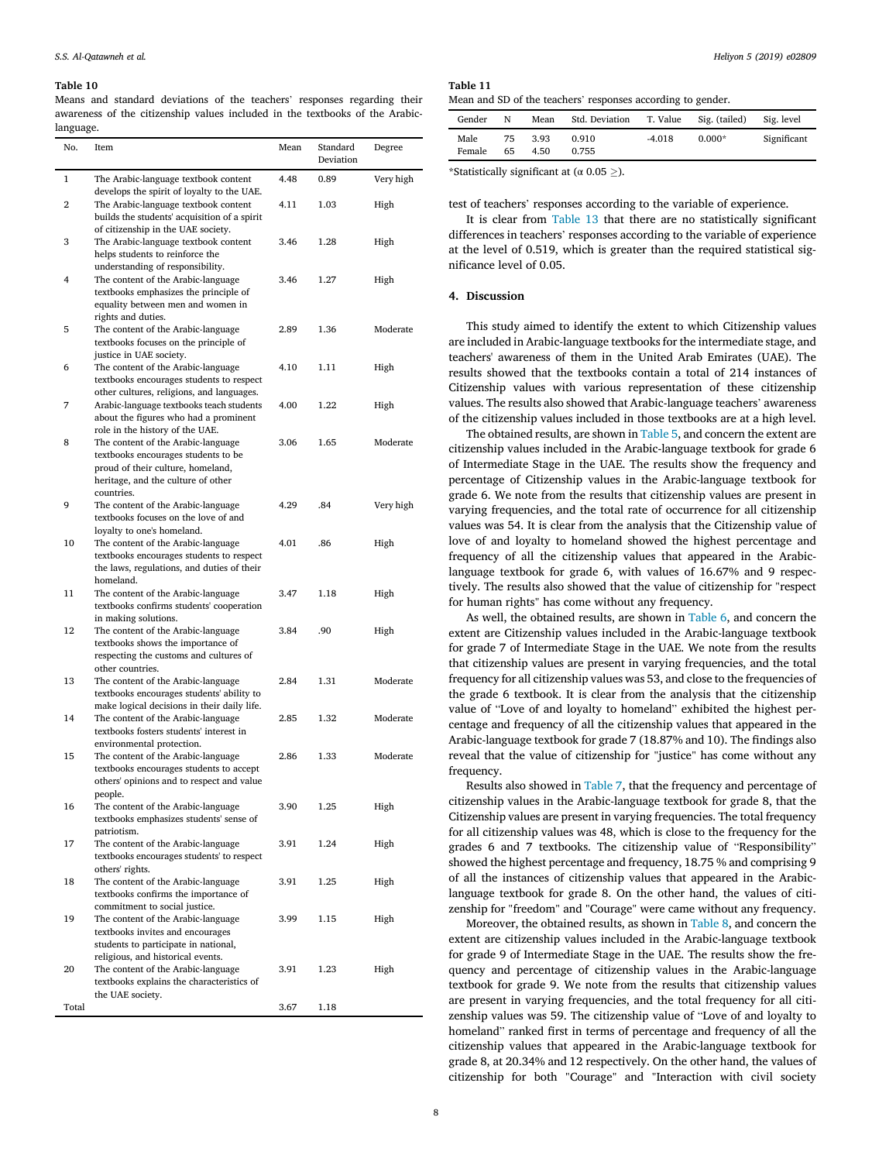Means and standard deviations of the teachers' responses regarding their awareness of the citizenship values included in the textbooks of the Arabiclanguage.

| No.            | Item                                                                                                                                                               | Mean | Standard<br>Deviation | Degree    |
|----------------|--------------------------------------------------------------------------------------------------------------------------------------------------------------------|------|-----------------------|-----------|
| 1              | The Arabic-language textbook content<br>develops the spirit of loyalty to the UAE.                                                                                 | 4.48 | 0.89                  | Very high |
| $\overline{2}$ | The Arabic-language textbook content<br>builds the students' acquisition of a spirit<br>of citizenship in the UAE society.                                         | 4.11 | 1.03                  | High      |
| 3              | The Arabic-language textbook content<br>helps students to reinforce the<br>understanding of responsibility.                                                        | 3.46 | 1.28                  | High      |
| 4              | The content of the Arabic-language<br>textbooks emphasizes the principle of<br>equality between men and women in<br>rights and duties.                             | 3.46 | 1.27                  | High      |
| 5              | The content of the Arabic-language<br>textbooks focuses on the principle of<br>justice in UAE society.                                                             | 2.89 | 1.36                  | Moderate  |
| 6              | The content of the Arabic-language<br>textbooks encourages students to respect<br>other cultures, religions, and languages.                                        | 4.10 | 1.11                  | High      |
| 7              | Arabic-language textbooks teach students<br>about the figures who had a prominent<br>role in the history of the UAE.                                               | 4.00 | 1.22                  | High      |
| 8              | The content of the Arabic-language<br>textbooks encourages students to be<br>proud of their culture, homeland,<br>heritage, and the culture of other<br>countries. | 3.06 | 1.65                  | Moderate  |
| 9              | The content of the Arabic-language<br>textbooks focuses on the love of and<br>loyalty to one's homeland.                                                           | 4.29 | .84                   | Very high |
| 10             | The content of the Arabic-language<br>textbooks encourages students to respect<br>the laws, regulations, and duties of their<br>homeland.                          | 4.01 | .86                   | High      |
| 11             | The content of the Arabic-language<br>textbooks confirms students' cooperation<br>in making solutions.                                                             | 3.47 | 1.18                  | High      |
| 12             | The content of the Arabic-language<br>textbooks shows the importance of<br>respecting the customs and cultures of<br>other countries.                              | 3.84 | .90                   | High      |
| 13             | The content of the Arabic-language<br>textbooks encourages students' ability to<br>make logical decisions in their daily life.                                     | 2.84 | 1.31                  | Moderate  |
| 14             | The content of the Arabic-language<br>textbooks fosters students' interest in<br>environmental protection.                                                         | 2.85 | 1.32                  | Moderate  |
| 15             | The content of the Arabic-language<br>textbooks encourages students to accept<br>others' opinions and to respect and value<br>people.                              | 2.86 | 1.33                  | Moderate  |
| 16             | The content of the Arabic-language<br>textbooks emphasizes students' sense of<br>patriotism.                                                                       | 3.90 | 1.25                  | High      |
| 17             | The content of the Arabic-language<br>textbooks encourages students' to respect<br>others' rights.                                                                 | 3.91 | 1.24                  | High      |
| 18             | The content of the Arabic-language<br>textbooks confirms the importance of<br>commitment to social justice.                                                        | 3.91 | 1.25                  | High      |
| 19             | The content of the Arabic-language<br>textbooks invites and encourages<br>students to participate in national,<br>religious, and historical events.                | 3.99 | 1.15                  | High      |
| 20             | The content of the Arabic-language<br>textbooks explains the characteristics of<br>the UAE society.                                                                | 3.91 | 1.23                  | High      |
| Total          |                                                                                                                                                                    | 3.67 | 1.18                  |           |

Table 11

| Mean and SD of the teachers' responses according to gender. |   |      |                         |  |               |            |
|-------------------------------------------------------------|---|------|-------------------------|--|---------------|------------|
| Gender                                                      | N | Mean | Std. Deviation T. Value |  | Sig. (tailed) | Sig. level |

| Male   | 75 3.93 | 0.910         | -4.018 | $0.000*$ | Significant |
|--------|---------|---------------|--------|----------|-------------|
| Female |         | 65 4.50 0.755 |        |          |             |
|        |         |               |        |          |             |

\*Statistically significant at ( $\alpha$  0.05  $\geq$ ).

test of teachers' responses according to the variable of experience.

It is clear from Table 13 that there are no statistically significant differences in teachers' responses according to the variable of experience at the level of 0.519, which is greater than the required statistical significance level of 0.05.

# 4. Discussion

This study aimed to identify the extent to which Citizenship values are included in Arabic-language textbooks for the intermediate stage, and teachers' awareness of them in the United Arab Emirates (UAE). The results showed that the textbooks contain a total of 214 instances of Citizenship values with various representation of these citizenship values. The results also showed that Arabic-language teachers' awareness of the citizenship values included in those textbooks are at a high level.

The obtained results, are shown in Table 5, and concern the extent are citizenship values included in the Arabic-language textbook for grade 6 of Intermediate Stage in the UAE. The results show the frequency and percentage of Citizenship values in the Arabic-language textbook for grade 6. We note from the results that citizenship values are present in varying frequencies, and the total rate of occurrence for all citizenship values was 54. It is clear from the analysis that the Citizenship value of love of and loyalty to homeland showed the highest percentage and frequency of all the citizenship values that appeared in the Arabiclanguage textbook for grade 6, with values of 16.67% and 9 respectively. The results also showed that the value of citizenship for "respect for human rights" has come without any frequency.

As well, the obtained results, are shown in Table 6, and concern the extent are Citizenship values included in the Arabic-language textbook for grade 7 of Intermediate Stage in the UAE. We note from the results that citizenship values are present in varying frequencies, and the total frequency for all citizenship values was 53, and close to the frequencies of the grade 6 textbook. It is clear from the analysis that the citizenship value of "Love of and loyalty to homeland" exhibited the highest percentage and frequency of all the citizenship values that appeared in the Arabic-language textbook for grade 7 (18.87% and 10). The findings also reveal that the value of citizenship for "justice" has come without any frequency.

Results also showed in Table 7, that the frequency and percentage of citizenship values in the Arabic-language textbook for grade 8, that the Citizenship values are present in varying frequencies. The total frequency for all citizenship values was 48, which is close to the frequency for the grades 6 and 7 textbooks. The citizenship value of "Responsibility" showed the highest percentage and frequency, 18.75 % and comprising 9 of all the instances of citizenship values that appeared in the Arabiclanguage textbook for grade 8. On the other hand, the values of citizenship for "freedom" and "Courage" were came without any frequency.

Moreover, the obtained results, as shown in Table 8, and concern the extent are citizenship values included in the Arabic-language textbook for grade 9 of Intermediate Stage in the UAE. The results show the frequency and percentage of citizenship values in the Arabic-language textbook for grade 9. We note from the results that citizenship values are present in varying frequencies, and the total frequency for all citizenship values was 59. The citizenship value of "Love of and loyalty to homeland" ranked first in terms of percentage and frequency of all the citizenship values that appeared in the Arabic-language textbook for grade 8, at 20.34% and 12 respectively. On the other hand, the values of citizenship for both "Courage" and "Interaction with civil society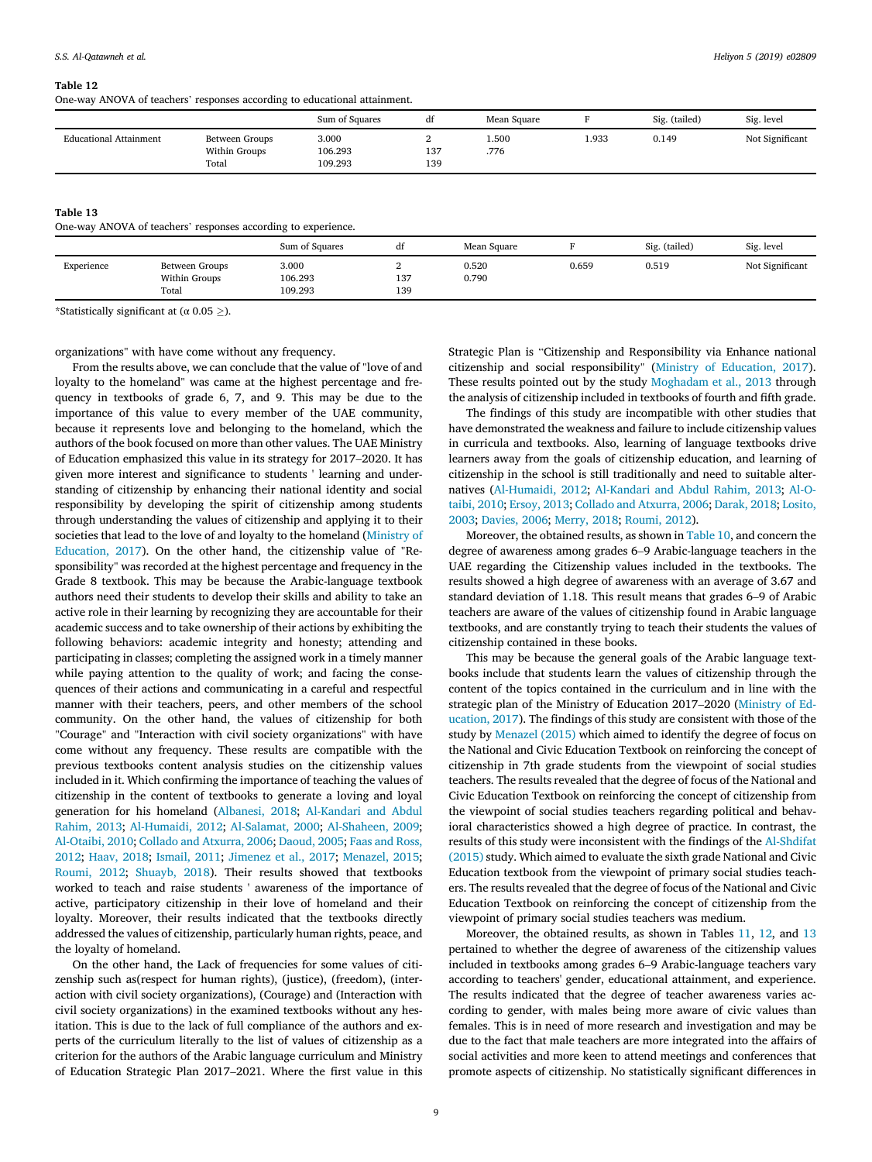One-way ANOVA of teachers' responses according to educational attainment.

|                               |                                          | Sum of Squares              | đt         | Mean Square  |      | Sig. (tailed) | Sig. level      |
|-------------------------------|------------------------------------------|-----------------------------|------------|--------------|------|---------------|-----------------|
| <b>Educational Attainment</b> | Between Groups<br>Within Groups<br>Total | 3.000<br>106.293<br>109.293 | 137<br>139 | 500ء<br>.776 | .933 | 0.149         | Not Significant |

#### Table 13

One-way ANOVA of teachers' responses according to experience.

|            |                                          | Sum of Squares              | đt              | Mean Square    |       | Sig. (tailed) | Sig. level      |
|------------|------------------------------------------|-----------------------------|-----------------|----------------|-------|---------------|-----------------|
| Experience | Between Groups<br>Within Groups<br>Total | 3.000<br>106.293<br>109.293 | -<br>137<br>139 | 0.520<br>0.790 | 0.659 | 0.519         | Not Significant |

\*Statistically significant at ( $\alpha$  0.05  $\geq$ ).

organizations" with have come without any frequency.

From the results above, we can conclude that the value of "love of and loyalty to the homeland" was came at the highest percentage and frequency in textbooks of grade 6, 7, and 9. This may be due to the importance of this value to every member of the UAE community, because it represents love and belonging to the homeland, which the authors of the book focused on more than other values. The UAE Ministry of Education emphasized this value in its strategy for 2017–2020. It has given more interest and significance to students ' learning and understanding of citizenship by enhancing their national identity and social responsibility by developing the spirit of citizenship among students through understanding the values of citizenship and applying it to their societies that lead to the love of and loyalty to the homeland (Ministry of Education, 2017). On the other hand, the citizenship value of "Responsibility" was recorded at the highest percentage and frequency in the Grade 8 textbook. This may be because the Arabic-language textbook authors need their students to develop their skills and ability to take an active role in their learning by recognizing they are accountable for their academic success and to take ownership of their actions by exhibiting the following behaviors: academic integrity and honesty; attending and participating in classes; completing the assigned work in a timely manner while paying attention to the quality of work; and facing the consequences of their actions and communicating in a careful and respectful manner with their teachers, peers, and other members of the school community. On the other hand, the values of citizenship for both "Courage" and "Interaction with civil society organizations" with have come without any frequency. These results are compatible with the previous textbooks content analysis studies on the citizenship values included in it. Which confirming the importance of teaching the values of citizenship in the content of textbooks to generate a loving and loyal generation for his homeland (Albanesi, 2018; Al-Kandari and Abdul Rahim, 2013; Al-Humaidi, 2012; Al-Salamat, 2000; Al-Shaheen, 2009; Al-Otaibi, 2010; Collado and Atxurra, 2006; Daoud, 2005; Faas and Ross, 2012; Haav, 2018; Ismail, 2011; Jimenez et al., 2017; Menazel, 2015; Roumi, 2012; Shuayb, 2018). Their results showed that textbooks worked to teach and raise students ' awareness of the importance of active, participatory citizenship in their love of homeland and their loyalty. Moreover, their results indicated that the textbooks directly addressed the values of citizenship, particularly human rights, peace, and the loyalty of homeland.

On the other hand, the Lack of frequencies for some values of citizenship such as(respect for human rights), (justice), (freedom), (interaction with civil society organizations), (Courage) and (Interaction with civil society organizations) in the examined textbooks without any hesitation. This is due to the lack of full compliance of the authors and experts of the curriculum literally to the list of values of citizenship as a criterion for the authors of the Arabic language curriculum and Ministry of Education Strategic Plan 2017–2021. Where the first value in this

Strategic Plan is "Citizenship and Responsibility via Enhance national citizenship and social responsibility" (Ministry of Education, 2017). These results pointed out by the study Moghadam et al., 2013 through the analysis of citizenship included in textbooks of fourth and fifth grade.

The findings of this study are incompatible with other studies that have demonstrated the weakness and failure to include citizenship values in curricula and textbooks. Also, learning of language textbooks drive learners away from the goals of citizenship education, and learning of citizenship in the school is still traditionally and need to suitable alternatives (Al-Humaidi, 2012; Al-Kandari and Abdul Rahim, 2013; Al-Otaibi, 2010; Ersoy, 2013; Collado and Atxurra, 2006; Darak, 2018; Losito, 2003; Davies, 2006; Merry, 2018; Roumi, 2012).

Moreover, the obtained results, as shown in Table 10, and concern the degree of awareness among grades 6–9 Arabic-language teachers in the UAE regarding the Citizenship values included in the textbooks. The results showed a high degree of awareness with an average of 3.67 and standard deviation of 1.18. This result means that grades 6–9 of Arabic teachers are aware of the values of citizenship found in Arabic language textbooks, and are constantly trying to teach their students the values of citizenship contained in these books.

This may be because the general goals of the Arabic language textbooks include that students learn the values of citizenship through the content of the topics contained in the curriculum and in line with the strategic plan of the Ministry of Education 2017–2020 (Ministry of Education, 2017). The findings of this study are consistent with those of the study by Menazel (2015) which aimed to identify the degree of focus on the National and Civic Education Textbook on reinforcing the concept of citizenship in 7th grade students from the viewpoint of social studies teachers. The results revealed that the degree of focus of the National and Civic Education Textbook on reinforcing the concept of citizenship from the viewpoint of social studies teachers regarding political and behavioral characteristics showed a high degree of practice. In contrast, the results of this study were inconsistent with the findings of the Al-Shdifat (2015) study. Which aimed to evaluate the sixth grade National and Civic Education textbook from the viewpoint of primary social studies teachers. The results revealed that the degree of focus of the National and Civic Education Textbook on reinforcing the concept of citizenship from the viewpoint of primary social studies teachers was medium.

Moreover, the obtained results, as shown in Tables 11, 12, and 13 pertained to whether the degree of awareness of the citizenship values included in textbooks among grades 6–9 Arabic-language teachers vary according to teachers' gender, educational attainment, and experience. The results indicated that the degree of teacher awareness varies according to gender, with males being more aware of civic values than females. This is in need of more research and investigation and may be due to the fact that male teachers are more integrated into the affairs of social activities and more keen to attend meetings and conferences that promote aspects of citizenship. No statistically significant differences in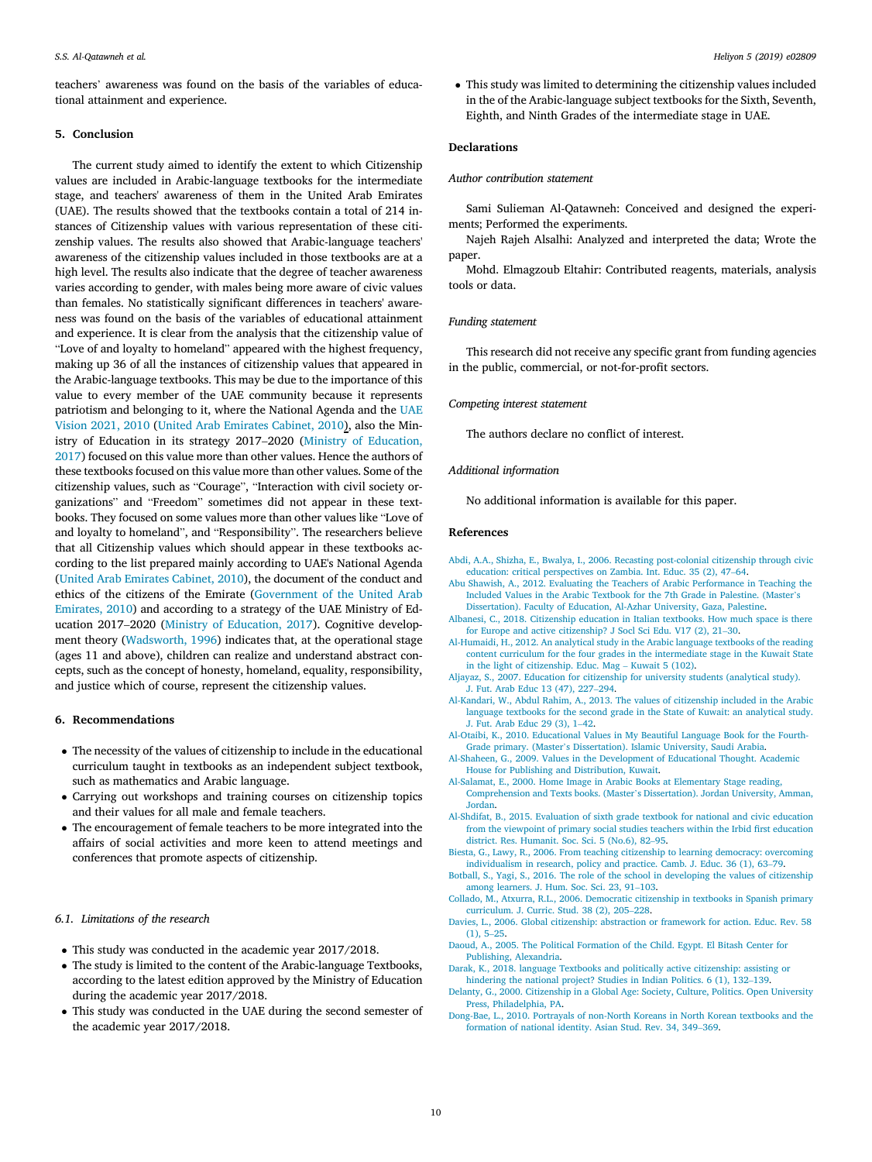teachers' awareness was found on the basis of the variables of educational attainment and experience.

## 5. Conclusion

The current study aimed to identify the extent to which Citizenship values are included in Arabic-language textbooks for the intermediate stage, and teachers' awareness of them in the United Arab Emirates (UAE). The results showed that the textbooks contain a total of 214 instances of Citizenship values with various representation of these citizenship values. The results also showed that Arabic-language teachers' awareness of the citizenship values included in those textbooks are at a high level. The results also indicate that the degree of teacher awareness varies according to gender, with males being more aware of civic values than females. No statistically significant differences in teachers' awareness was found on the basis of the variables of educational attainment and experience. It is clear from the analysis that the citizenship value of "Love of and loyalty to homeland" appeared with the highest frequency, making up 36 of all the instances of citizenship values that appeared in the Arabic-language textbooks. This may be due to the importance of this value to every member of the UAE community because it represents patriotism and belonging to it, where the National Agenda and the UAE Vision 2021, 2010 (United Arab Emirates Cabinet, 2010), also the Ministry of Education in its strategy 2017–2020 (Ministry of Education, 2017) focused on this value more than other values. Hence the authors of these textbooks focused on this value more than other values. Some of the citizenship values, such as "Courage", "Interaction with civil society organizations" and "Freedom" sometimes did not appear in these textbooks. They focused on some values more than other values like "Love of and loyalty to homeland", and "Responsibility". The researchers believe that all Citizenship values which should appear in these textbooks according to the list prepared mainly according to UAE's National Agenda (United Arab Emirates Cabinet, 2010), the document of the conduct and ethics of the citizens of the Emirate (Government of the United Arab Emirates, 2010) and according to a strategy of the UAE Ministry of Education 2017–2020 (Ministry of Education, 2017). Cognitive development theory (Wadsworth, 1996) indicates that, at the operational stage (ages 11 and above), children can realize and understand abstract concepts, such as the concept of honesty, homeland, equality, responsibility, and justice which of course, represent the citizenship values.

# 6. Recommendations

- The necessity of the values of citizenship to include in the educational curriculum taught in textbooks as an independent subject textbook, such as mathematics and Arabic language.
- Carrying out workshops and training courses on citizenship topics and their values for all male and female teachers.
- The encouragement of female teachers to be more integrated into the affairs of social activities and more keen to attend meetings and conferences that promote aspects of citizenship.

# *6.1. Limitations of the research*

- This study was conducted in the academic year 2017/2018.
- The study is limited to the content of the Arabic-language Textbooks, according to the latest edition approved by the Ministry of Education during the academic year 2017/2018.
- This study was conducted in the UAE during the second semester of the academic year 2017/2018.

 This study was limited to determining the citizenship values included in the of the Arabic-language subject textbooks for the Sixth, Seventh, Eighth, and Ninth Grades of the intermediate stage in UAE.

## Declarations

#### *Author contribution statement*

Sami Sulieman Al-Qatawneh: Conceived and designed the experiments; Performed the experiments.

Najeh Rajeh Alsalhi: Analyzed and interpreted the data; Wrote the paper.

Mohd. Elmagzoub Eltahir: Contributed reagents, materials, analysis tools or data.

# *Funding statement*

This research did not receive any specific grant from funding agencies in the public, commercial, or not-for-profit sectors.

## *Competing interest statement*

The authors declare no conflict of interest.

# *Additional information*

No additional information is available for this paper.

## References

- Abdi, A.A., Shizha, E., Bwalya, I., 2006. Recasting post-colonial citizenship through civic education: critical perspectives on Zambia. Int. Educ. 35 (2), 47–64.
- Abu Shawish, A., 2012. Evaluating the Teachers of Arabic Performance in Teaching the Included Values in the Arabic Textbook for the 7th Grade in Palestine. (Master's Dissertation). Faculty of Education, Al-Azhar University, Gaza, Palestine.
- Albanesi, C., 2018. Citizenship education in Italian textbooks. How much space is there for Europe and active citizenship? J Socl Sci Edu. V17 (2), 21–30.
- Al-Humaidi, H., 2012. An analytical study in the Arabic language textbooks of the reading content curriculum for the four grades in the intermediate stage in the Kuwait State in the light of citizenship. Educ. Mag – Kuwait 5 (102).
- Aljayaz, S., 2007. Education for citizenship for university students (analytical study). J. Fut. Arab Educ 13 (47), 227–294.
- Al-Kandari, W., Abdul Rahim, A., 2013. The values of citizenship included in the Arabic language textbooks for the second grade in the State of Kuwait: an analytical study. J. Fut. Arab Educ 29 (3), 1–42.
- Al-Otaibi, K., 2010. Educational Values in My Beautiful Language Book for the Fourth-Grade primary. (Master's Dissertation). Islamic University, Saudi Arabia.
- Al-Shaheen, G., 2009. Values in the Development of Educational Thought. Academic House for Publishing and Distribution, Kuwait.
- Al-Salamat, E., 2000. Home Image in Arabic Books at Elementary Stage reading, Comprehension and Texts books. (Master's Dissertation). Jordan University, Amman, Jordan.
- Al-Shdifat, B., 2015. Evaluation of sixth grade textbook for national and civic education from the viewpoint of primary social studies teachers within the Irbid first education district. Res. Humanit. Soc. Sci. 5 (No.6), 82–95.
- Biesta, G., Lawy, R., 2006. From teaching citizenship to learning democracy: overcoming individualism in research, policy and practice. Camb. J. Educ. 36 (1), 63–79.
- Botball, S., Yagi, S., 2016. The role of the school in developing the values of citizenship among learners. J. Hum. Soc. Sci. 23, 91–103.
- Collado, M., Atxurra, R.L., 2006. Democratic citizenship in textbooks in Spanish primary curriculum. J. Curric. Stud. 38 (2), 205–228.
- Davies, L., 2006. Global citizenship: abstraction or framework for action. Educ. Rev. 58 (1), 5–25.
- Daoud, A., 2005. The Political Formation of the Child. Egypt. El Bitash Center for Publishing, Alexandria.
- Darak, K., 2018. language Textbooks and politically active citizenship: assisting or hindering the national project? Studies in Indian Politics. 6 (1), 132–139.
- Delanty, G., 2000. Citizenship in a Global Age: Society, Culture, Politics. Open University Press, Philadelphia, PA.
- Dong-Bae, L., 2010. Portrayals of non-North Koreans in North Korean textbooks and the formation of national identity. Asian Stud. Rev. 34, 349–369.